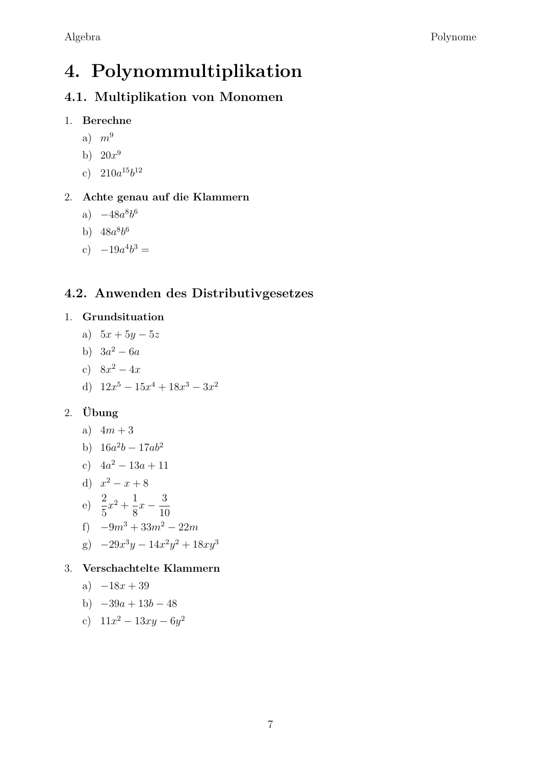# 4. Polynommultiplikation

# 4.1. Multiplikation von Monomen

- 1. Berechne
	- a)  $m^9$
	- b)  $20x^9$
	- c)  $210a^{15}b^{12}$

## 2. Achte genau auf die Klammern

- a)  $-48a^8b^6$
- b)  $48a^8b^6$
- c)  $-19a^4b^3 =$

# 4.2. Anwenden des Distributivgesetzes

## 1. Grundsituation

- a)  $5x + 5y 5z$
- b)  $3a^2 6a$
- c)  $8x^2 4x$
- d)  $12x^5 15x^4 + 18x^3 3x^2$

## 2. Übung

- a)  $4m + 3$
- b)  $16a^2b 17ab^2$
- c)  $4a^2 13a + 11$
- d)  $x^2 x + 8$
- e)  $\frac{2}{5}x^2 + \frac{1}{8}x \frac{3}{10}$
- 
- f)  $-9m^3 + 33m^2 22m$
- g)  $-29x^3y 14x^2y^2 + 18xy^3$
- 3. Verschachtelte Klammern

$$
a) -18x + 39
$$

b) 
$$
-39a + 13b - 48
$$

c)  $11x^2 - 13xy - 6y^2$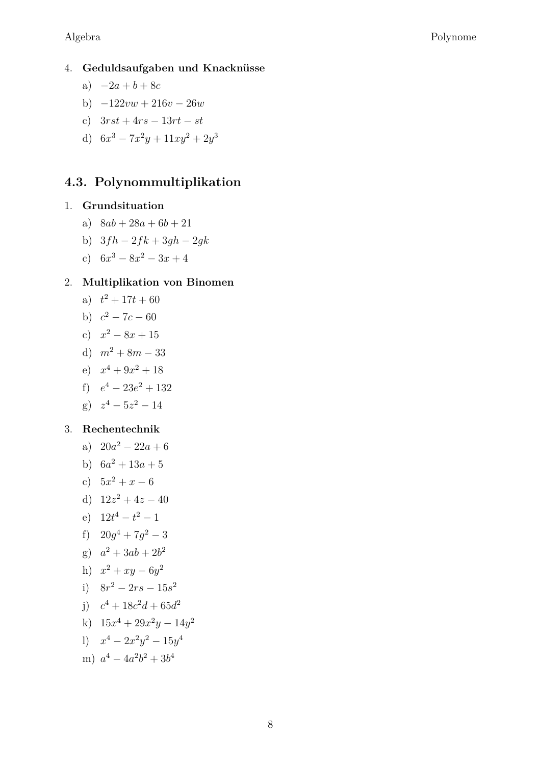#### 4. Geduldsaufgaben und Knacknüsse

- a)  $-2a + b + 8c$
- b)  $-122vw + 216v 26w$
- c)  $3rst + 4rs 13rt st$
- d)  $6x^3 7x^2y + 11xy^2 + 2y^3$

## 4.3. Polynommultiplikation

#### 1. Grundsituation

- a)  $8ab + 28a + 6b + 21$
- b)  $3fh 2fk + 3gh 2gk$
- c)  $6x^3 8x^2 3x + 4$

#### 2. Multiplikation von Binomen

- a)  $t^2 + 17t + 60$
- b)  $c^2 7c 60$
- c)  $x^2 8x + 15$
- d)  $m^2 + 8m 33$
- e)  $x^4 + 9x^2 + 18$
- f)  $e^4 23e^2 + 132$
- $g^3$   $z^4 5z^2 14$

#### 3. Rechentechnik

- a)  $20a^2 22a + 6$
- b)  $6a^2 + 13a + 5$
- c)  $5x^2 + x 6$
- d)  $12z^2 + 4z 40$
- e)  $12t^4 t^2 1$
- f)  $20q^4 + 7q^2 3$
- g)  $a^2 + 3ab + 2b^2$

h) 
$$
x^2 + xy - 6y^2
$$

- i)  $8r^2 2rs 15s^2$
- i)  $c^4 + 18c^2d + 65d^2$
- k)  $15x^4 + 29x^2y 14y^2$
- 1)  $x^4 2x^2y^2 15y^4$
- m)  $a^4 4a^2b^2 + 3b^4$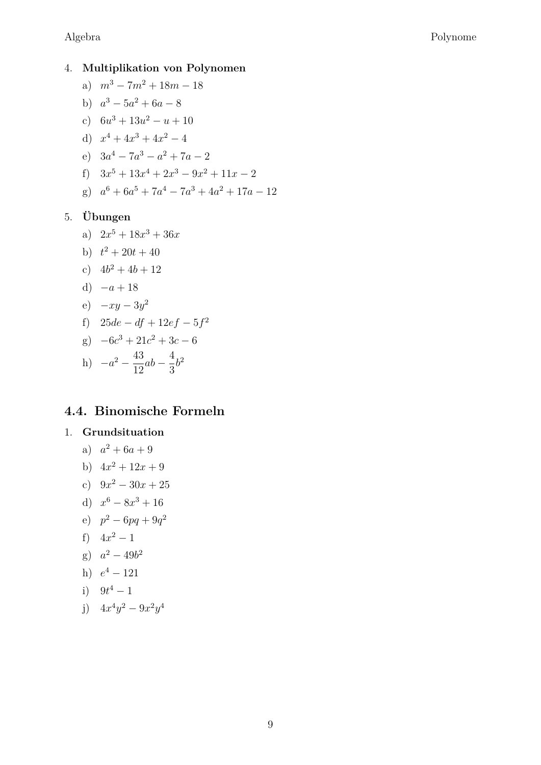#### 4. Multiplikation von Polynomen

- a)  $m^3 7m^2 + 18m 18$
- b)  $a^3 5a^2 + 6a 8$
- c)  $6u^3 + 13u^2 u + 10$
- d)  $x^4 + 4x^3 + 4x^2 4$
- e)  $3a^4 7a^3 a^2 + 7a 2$
- f)  $3x^5 + 13x^4 + 2x^3 9x^2 + 11x 2$
- g)  $a^6 + 6a^5 + 7a^4 7a^3 + 4a^2 + 17a 12$

#### 5. Übungen

- a)  $2x^5 + 18x^3 + 36x$
- b)  $t^2 + 20t + 40$
- c)  $4b^2 + 4b + 12$
- d)  $-a+18$

$$
e) \quad -xy - 3y^2
$$

- f)  $25de df + 12ef 5f^2$
- g)  $-6c^3 + 21c^2 + 3c 6$
- h)  $-a^2 \frac{43}{12}ab \frac{4}{3}b^2$

## 4.4. Binomische Formeln

### 1. Grundsituation

- a)  $a^2 + 6a + 9$
- b)  $4x^2 + 12x + 9$
- c)  $9x^2 30x + 25$
- d)  $x^6 8x^3 + 16$
- e)  $p^2 6pq + 9q^2$
- f)  $4x^2-1$
- g)  $a^2 49b^2$

h) 
$$
e^4 - 121
$$

i) 
$$
9t^4 - 1
$$

j)  $4x^4y^2 - 9x^2y^4$